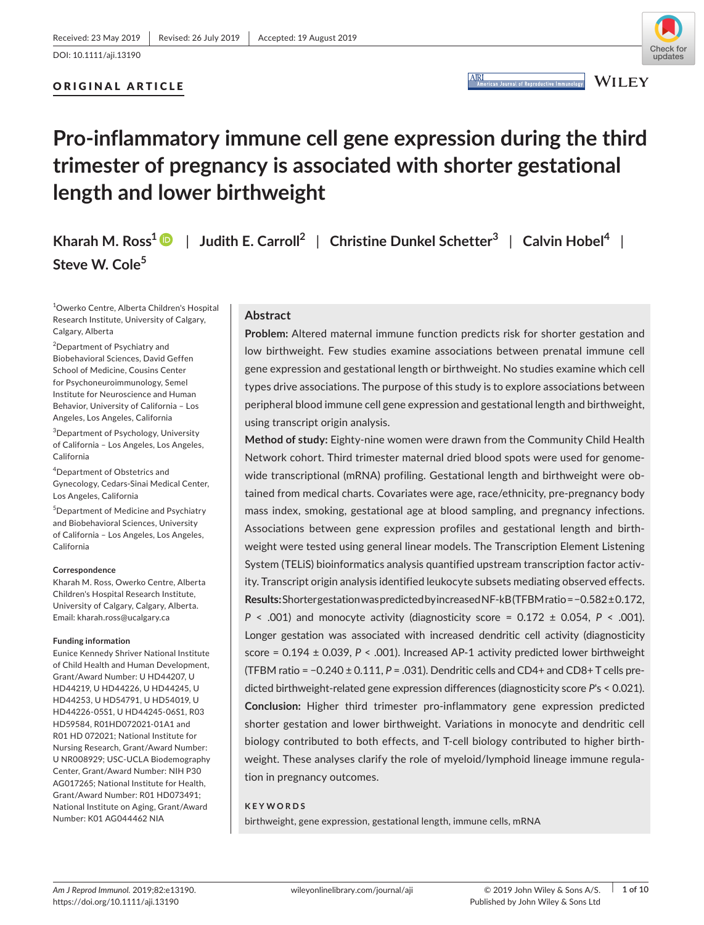



**ARI** 

**WILEY** 

# **Pro‐inflammatory immune cell gene expression during the third trimester of pregnancy is associated with shorter gestational length and lower birthweight**

**Kharah M. Ross1** | **Judith E. Carroll2** | **Christine Dunkel Schetter<sup>3</sup>** | **Calvin Hobel<sup>4</sup>** | **Steve W. Cole5**

1 Owerko Centre, Alberta Children's Hospital Research Institute, University of Calgary, Calgary, Alberta

<sup>2</sup>Department of Psychiatry and Biobehavioral Sciences, David Geffen School of Medicine, Cousins Center for Psychoneuroimmunology, Semel Institute for Neuroscience and Human Behavior, University of California – Los Angeles, Los Angeles, California

3 Department of Psychology, University of California – Los Angeles, Los Angeles, California

4 Department of Obstetrics and Gynecology, Cedars‐Sinai Medical Center, Los Angeles, California

5 Department of Medicine and Psychiatry and Biobehavioral Sciences, University of California – Los Angeles, Los Angeles, California

#### **Correspondence**

Kharah M. Ross, Owerko Centre, Alberta Children's Hospital Research Institute, University of Calgary, Calgary, Alberta. Email: [kharah.ross@ucalgary.ca](mailto:kharah.ross@ucalgary.ca)

#### **Funding information**

Eunice Kennedy Shriver National Institute of Child Health and Human Development, Grant/Award Number: U HD44207, U HD44219, U HD44226, U HD44245, U HD44253, U HD54791, U HD54019, U HD44226‐05S1, U HD44245‐06S1, R03 HD59584, R01HD072021‐01A1 and R01 HD 072021; National Institute for Nursing Research, Grant/Award Number: U NR008929; USC‐UCLA Biodemography Center, Grant/Award Number: NIH P30 AG017265; National Institute for Health, Grant/Award Number: R01 HD073491; National Institute on Aging, Grant/Award Number: K01 AG044462 NIA

# **Abstract**

**Problem:** Altered maternal immune function predicts risk for shorter gestation and low birthweight. Few studies examine associations between prenatal immune cell gene expression and gestational length or birthweight. No studies examine which cell types drive associations. The purpose of this study is to explore associations between peripheral blood immune cell gene expression and gestational length and birthweight, using transcript origin analysis.

**Method of study:** Eighty‐nine women were drawn from the Community Child Health Network cohort. Third trimester maternal dried blood spots were used for genome‐ wide transcriptional (mRNA) profiling. Gestational length and birthweight were obtained from medical charts. Covariates were age, race/ethnicity, pre‐pregnancy body mass index, smoking, gestational age at blood sampling, and pregnancy infections. Associations between gene expression profiles and gestational length and birth‐ weight were tested using general linear models. The Transcription Element Listening System (TELiS) bioinformatics analysis quantified upstream transcription factor activ‐ ity. Transcript origin analysis identified leukocyte subsets mediating observed effects. **Results:** ShortergestationwaspredictedbyincreasedNF‐kB(TFBMratio=−0.582±0.172,  $P \leq 0.001$  and monocyte activity (diagnosticity score = 0.172  $\pm$  0.054,  $P \leq 0.001$ ). Longer gestation was associated with increased dendritic cell activity (diagnosticity score = 0.194 ± 0.039, P < .001). Increased AP-1 activity predicted lower birthweight (TFBM ratio = −0.240 ± 0.111, *P* = .031). Dendritic cells and CD4+ and CD8+ T cells pre‐ dicted birthweight‐related gene expression differences (diagnosticity score *P*'s < 0.021). **Conclusion:** Higher third trimester pro‐inflammatory gene expression predicted shorter gestation and lower birthweight. Variations in monocyte and dendritic cell biology contributed to both effects, and T‐cell biology contributed to higher birth‐ weight. These analyses clarify the role of myeloid/lymphoid lineage immune regulation in pregnancy outcomes.

# **KEYWORDS**

birthweight, gene expression, gestational length, immune cells, mRNA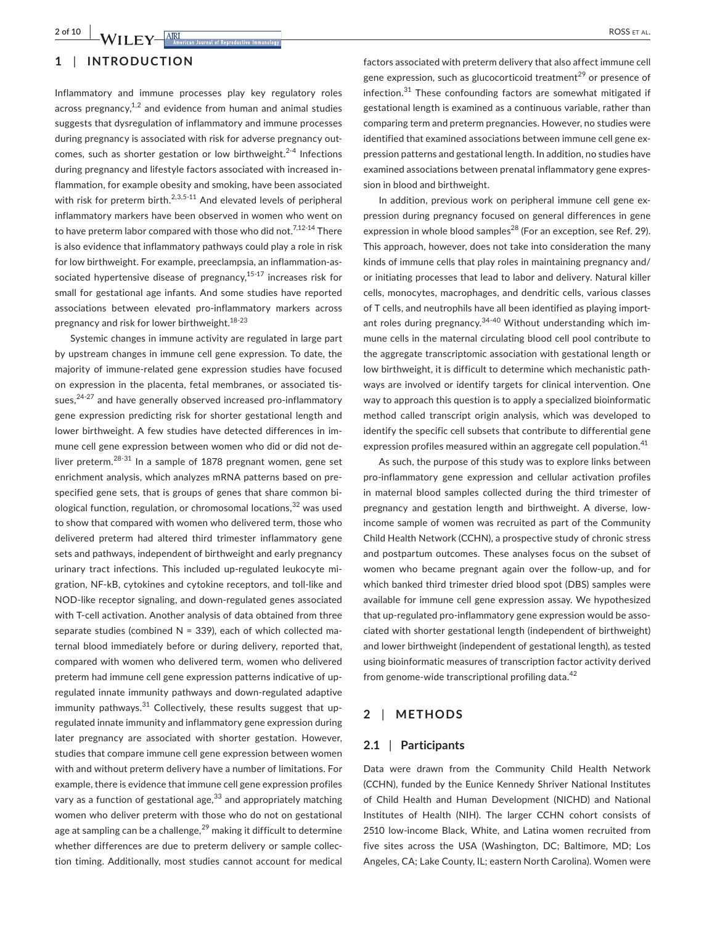# **1** | **INTRODUCTION**

Inflammatory and immune processes play key regulatory roles across pregnancy, $1,2$  and evidence from human and animal studies suggests that dysregulation of inflammatory and immune processes during pregnancy is associated with risk for adverse pregnancy out‐ comes, such as shorter gestation or low birthweight.<sup>2-4</sup> Infections during pregnancy and lifestyle factors associated with increased in‐ flammation, for example obesity and smoking, have been associated with risk for preterm birth.<sup>2,3,5-11</sup> And elevated levels of peripheral inflammatory markers have been observed in women who went on to have preterm labor compared with those who did not.<sup>7,12-14</sup> There is also evidence that inflammatory pathways could play a role in risk for low birthweight. For example, preeclampsia, an inflammation‐as‐ sociated hypertensive disease of pregnancy, $15-17$  increases risk for small for gestational age infants. And some studies have reported associations between elevated pro‐inflammatory markers across pregnancy and risk for lower birthweight.18-23

Systemic changes in immune activity are regulated in large part by upstream changes in immune cell gene expression. To date, the majority of immune‐related gene expression studies have focused on expression in the placenta, fetal membranes, or associated tis‐ sues, $24-27$  and have generally observed increased pro-inflammatory gene expression predicting risk for shorter gestational length and lower birthweight. A few studies have detected differences in im‐ mune cell gene expression between women who did or did not de‐ liver preterm.<sup>28-31</sup> In a sample of 1878 pregnant women, gene set enrichment analysis, which analyzes mRNA patterns based on pre‐ specified gene sets, that is groups of genes that share common biological function, regulation, or chromosomal locations, $32$  was used to show that compared with women who delivered term, those who delivered preterm had altered third trimester inflammatory gene sets and pathways, independent of birthweight and early pregnancy urinary tract infections. This included up-regulated leukocyte migration, NF‐kB, cytokines and cytokine receptors, and toll‐like and NOD‐like receptor signaling, and down‐regulated genes associated with T-cell activation. Another analysis of data obtained from three separate studies (combined  $N = 339$ ), each of which collected maternal blood immediately before or during delivery, reported that, compared with women who delivered term, women who delivered preterm had immune cell gene expression patterns indicative of upregulated innate immunity pathways and down‐regulated adaptive immunity pathways. $31$  Collectively, these results suggest that upregulated innate immunity and inflammatory gene expression during later pregnancy are associated with shorter gestation. However, studies that compare immune cell gene expression between women with and without preterm delivery have a number of limitations. For example, there is evidence that immune cell gene expression profiles vary as a function of gestational age, $33$  and appropriately matching women who deliver preterm with those who do not on gestational age at sampling can be a challenge, $^{29}$  making it difficult to determine whether differences are due to preterm delivery or sample collec‐ tion timing. Additionally, most studies cannot account for medical

factors associated with preterm delivery that also affect immune cell gene expression, such as glucocorticoid treatment<sup>29</sup> or presence of infection. $31$  These confounding factors are somewhat mitigated if gestational length is examined as a continuous variable, rather than comparing term and preterm pregnancies. However, no studies were identified that examined associations between immune cell gene expression patterns and gestational length. In addition, no studies have examined associations between prenatal inflammatory gene expres‐ sion in blood and birthweight.

In addition, previous work on peripheral immune cell gene expression during pregnancy focused on general differences in gene expression in whole blood samples<sup>28</sup> (For an exception, see Ref. 29). This approach, however, does not take into consideration the many kinds of immune cells that play roles in maintaining pregnancy and/ or initiating processes that lead to labor and delivery. Natural killer cells, monocytes, macrophages, and dendritic cells, various classes of T cells, and neutrophils have all been identified as playing import‐ ant roles during pregnancy.<sup>34-40</sup> Without understanding which immune cells in the maternal circulating blood cell pool contribute to the aggregate transcriptomic association with gestational length or low birthweight, it is difficult to determine which mechanistic path‐ ways are involved or identify targets for clinical intervention. One way to approach this question is to apply a specialized bioinformatic method called transcript origin analysis, which was developed to identify the specific cell subsets that contribute to differential gene expression profiles measured within an aggregate cell population.<sup>41</sup>

As such, the purpose of this study was to explore links between pro-inflammatory gene expression and cellular activation profiles in maternal blood samples collected during the third trimester of pregnancy and gestation length and birthweight. A diverse, low‐ income sample of women was recruited as part of the Community Child Health Network (CCHN), a prospective study of chronic stress and postpartum outcomes. These analyses focus on the subset of women who became pregnant again over the follow‐up, and for which banked third trimester dried blood spot (DBS) samples were available for immune cell gene expression assay. We hypothesized that up-regulated pro-inflammatory gene expression would be associated with shorter gestational length (independent of birthweight) and lower birthweight (independent of gestational length), as tested using bioinformatic measures of transcription factor activity derived from genome-wide transcriptional profiling data.<sup>42</sup>

#### **2** | **METHODS**

#### **2.1** | **Participants**

Data were drawn from the Community Child Health Network (CCHN), funded by the Eunice Kennedy Shriver National Institutes of Child Health and Human Development (NICHD) and National Institutes of Health (NIH). The larger CCHN cohort consists of 2510 low‐income Black, White, and Latina women recruited from five sites across the USA (Washington, DC; Baltimore, MD; Los Angeles, CA; Lake County, IL; eastern North Carolina). Women were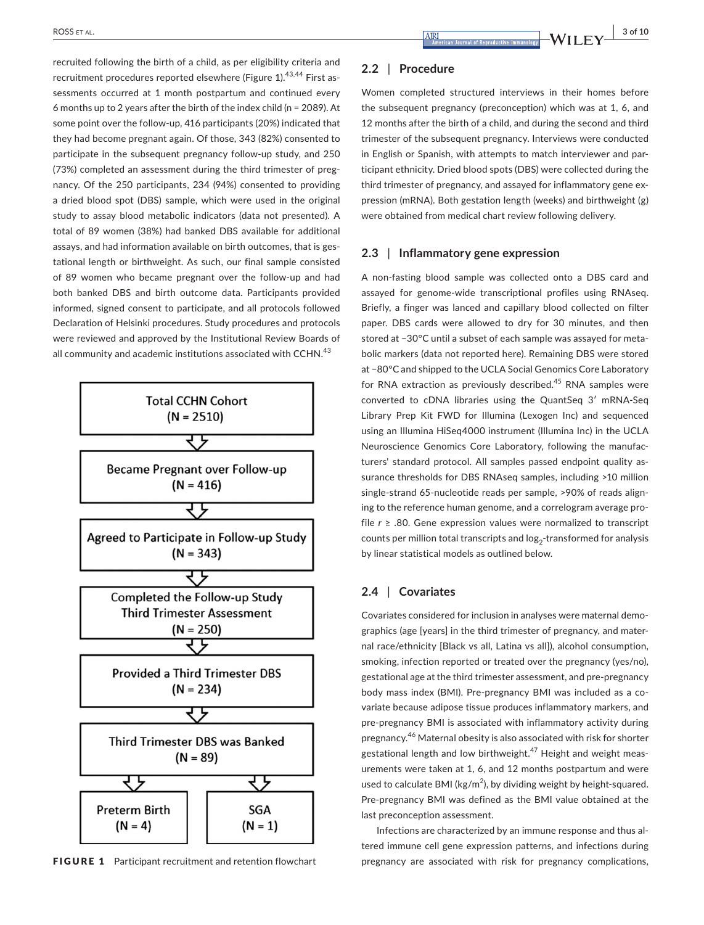recruited following the birth of a child, as per eligibility criteria and recruitment procedures reported elsewhere (Figure 1).<sup>43,44</sup> First assessments occurred at 1 month postpartum and continued every 6 months up to 2 years after the birth of the index child (n = 2089). At some point over the follow-up, 416 participants (20%) indicated that they had become pregnant again. Of those, 343 (82%) consented to participate in the subsequent pregnancy follow‐up study, and 250 (73%) completed an assessment during the third trimester of preg‐ nancy. Of the 250 participants, 234 (94%) consented to providing a dried blood spot (DBS) sample, which were used in the original study to assay blood metabolic indicators (data not presented). A total of 89 women (38%) had banked DBS available for additional assays, and had information available on birth outcomes, that is ges‐ tational length or birthweight. As such, our final sample consisted of 89 women who became pregnant over the follow‐up and had both banked DBS and birth outcome data. Participants provided informed, signed consent to participate, and all protocols followed Declaration of Helsinki procedures. Study procedures and protocols were reviewed and approved by the Institutional Review Boards of all community and academic institutions associated with CCHN.<sup>43</sup>



#### **2.2** | **Procedure**

Women completed structured interviews in their homes before the subsequent pregnancy (preconception) which was at 1, 6, and 12 months after the birth of a child, and during the second and third trimester of the subsequent pregnancy. Interviews were conducted in English or Spanish, with attempts to match interviewer and participant ethnicity. Dried blood spots (DBS) were collected during the third trimester of pregnancy, and assayed for inflammatory gene ex‐ pression (mRNA). Both gestation length (weeks) and birthweight (g) were obtained from medical chart review following delivery.

#### **2.3** | **Inflammatory gene expression**

A non‐fasting blood sample was collected onto a DBS card and assayed for genome‐wide transcriptional profiles using RNAseq. Briefly, a finger was lanced and capillary blood collected on filter paper. DBS cards were allowed to dry for 30 minutes, and then stored at −30°C until a subset of each sample was assayed for meta‐ bolic markers (data not reported here). Remaining DBS were stored at −80°C and shipped to the UCLA Social Genomics Core Laboratory for RNA extraction as previously described.<sup>45</sup> RNA samples were converted to cDNA libraries using the QuantSeq 3′ mRNA‐Seq Library Prep Kit FWD for Illumina (Lexogen Inc) and sequenced using an Illumina HiSeq4000 instrument (Illumina Inc) in the UCLA Neuroscience Genomics Core Laboratory, following the manufac‐ turers' standard protocol. All samples passed endpoint quality as‐ surance thresholds for DBS RNAseq samples, including >10 million single-strand 65-nucleotide reads per sample, >90% of reads aligning to the reference human genome, and a correlogram average pro‐ file *r* ≥ .80. Gene expression values were normalized to transcript counts per million total transcripts and  $log<sub>2</sub>$ -transformed for analysis by linear statistical models as outlined below.

### **2.4** | **Covariates**

Covariates considered for inclusion in analyses were maternal demo‐ graphics (age [years] in the third trimester of pregnancy, and mater‐ nal race/ethnicity [Black vs all, Latina vs all]), alcohol consumption, smoking, infection reported or treated over the pregnancy (yes/no), gestational age at the third trimester assessment, and pre‐pregnancy body mass index (BMI). Pre‐pregnancy BMI was included as a co‐ variate because adipose tissue produces inflammatory markers, and pre‐pregnancy BMI is associated with inflammatory activity during pregnancy.46 Maternal obesity is also associated with risk for shorter gestational length and low birthweight.<sup>47</sup> Height and weight measurements were taken at 1, 6, and 12 months postpartum and were used to calculate BMI ( $\text{kg/m}^2$ ), by dividing weight by height-squared. Pre‐pregnancy BMI was defined as the BMI value obtained at the last preconception assessment.

Infections are characterized by an immune response and thus al‐ tered immune cell gene expression patterns, and infections during FIGURE 1 Participant recruitment and retention flowchart pregnancy are associated with risk for pregnancy complications,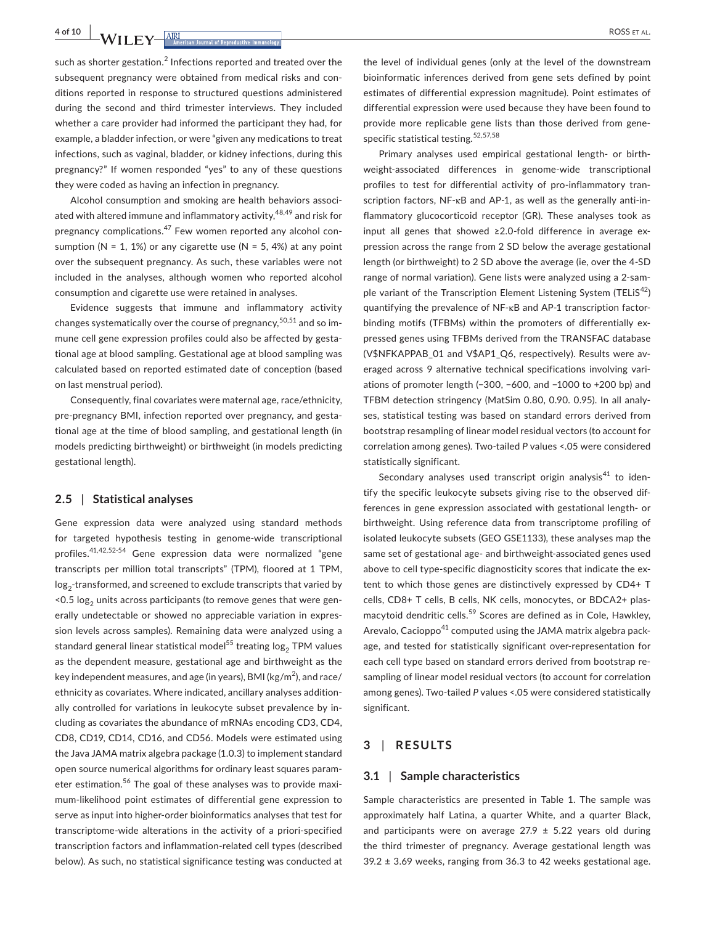**4 of 10 |**  ROSS et al.

such as shorter gestation.<sup>2</sup> Infections reported and treated over the subsequent pregnancy were obtained from medical risks and conditions reported in response to structured questions administered during the second and third trimester interviews. They included whether a care provider had informed the participant they had, for example, a bladder infection, or were "given any medications to treat infections, such as vaginal, bladder, or kidney infections, during this pregnancy?" If women responded "yes" to any of these questions they were coded as having an infection in pregnancy.

Alcohol consumption and smoking are health behaviors associ‐ ated with altered immune and inflammatory activity,<sup>48,49</sup> and risk for pregnancy complications.<sup>47</sup> Few women reported any alcohol consumption ( $N = 1$ , 1%) or any cigarette use ( $N = 5$ , 4%) at any point over the subsequent pregnancy. As such, these variables were not included in the analyses, although women who reported alcohol consumption and cigarette use were retained in analyses.

Evidence suggests that immune and inflammatory activity changes systematically over the course of pregnancy,  $50,51$  and so immune cell gene expression profiles could also be affected by gestational age at blood sampling. Gestational age at blood sampling was calculated based on reported estimated date of conception (based on last menstrual period).

Consequently, final covariates were maternal age, race/ethnicity, pre-pregnancy BMI, infection reported over pregnancy, and gestational age at the time of blood sampling, and gestational length (in models predicting birthweight) or birthweight (in models predicting gestational length).

#### **2.5** | **Statistical analyses**

Gene expression data were analyzed using standard methods for targeted hypothesis testing in genome‐wide transcriptional profiles.41,42,52-54 Gene expression data were normalized "gene transcripts per million total transcripts" (TPM), floored at 1 TPM,  $\log_2$ -transformed, and screened to exclude transcripts that varied by  $<$  0.5 log<sub>2</sub> units across participants (to remove genes that were generally undetectable or showed no appreciable variation in expres‐ sion levels across samples). Remaining data were analyzed using a standard general linear statistical model<sup>55</sup> treating  $log<sub>2</sub>$  TPM values as the dependent measure, gestational age and birthweight as the key independent measures, and age (in years), BMI (kg/m $^2$ ), and race/ ethnicity as covariates. Where indicated, ancillary analyses addition‐ ally controlled for variations in leukocyte subset prevalence by in‐ cluding as covariates the abundance of mRNAs encoding CD3, CD4, CD8, CD19, CD14, CD16, and CD56. Models were estimated using the Java JAMA matrix algebra package (1.0.3) to implement standard open source numerical algorithms for ordinary least squares param‐ eter estimation.<sup>56</sup> The goal of these analyses was to provide maximum‐likelihood point estimates of differential gene expression to serve as input into higher‐order bioinformatics analyses that test for transcriptome‐wide alterations in the activity of a priori‐specified transcription factors and inflammation‐related cell types (described below). As such, no statistical significance testing was conducted at

the level of individual genes (only at the level of the downstream bioinformatic inferences derived from gene sets defined by point estimates of differential expression magnitude). Point estimates of differential expression were used because they have been found to provide more replicable gene lists than those derived from gene‐ specific statistical testing.<sup>52,57,58</sup>

Primary analyses used empirical gestational length‐ or birth‐ weight-associated differences in genome-wide transcriptional profiles to test for differential activity of pro-inflammatory transcription factors, NF‐κB and AP‐1, as well as the generally anti‐in‐ flammatory glucocorticoid receptor (GR). These analyses took as input all genes that showed ≥2.0‐fold difference in average ex‐ pression across the range from 2 SD below the average gestational length (or birthweight) to 2 SD above the average (ie, over the 4‐SD range of normal variation). Gene lists were analyzed using a 2‐sam‐ ple variant of the Transcription Element Listening System (TELiS<sup>42</sup>) quantifying the prevalence of NF‐κB and AP‐1 transcription factor‐ binding motifs (TFBMs) within the promoters of differentially expressed genes using TFBMs derived from the TRANSFAC database (V\$NFKAPPAB\_01 and V\$AP1\_Q6, respectively). Results were av‐ eraged across 9 alternative technical specifications involving vari‐ ations of promoter length (−300, −600, and −1000 to +200 bp) and TFBM detection stringency (MatSim 0.80, 0.90. 0.95). In all analy‐ ses, statistical testing was based on standard errors derived from bootstrap resampling of linear model residual vectors (to account for correlation among genes). Two‐tailed *P* values <.05 were considered statistically significant.

Secondary analyses used transcript origin analysis<sup>41</sup> to identify the specific leukocyte subsets giving rise to the observed dif‐ ferences in gene expression associated with gestational length‐ or birthweight. Using reference data from transcriptome profiling of isolated leukocyte subsets (GEO GSE1133), these analyses map the same set of gestational age- and birthweight-associated genes used above to cell type-specific diagnosticity scores that indicate the extent to which those genes are distinctively expressed by CD4+ T cells, CD8+ T cells, B cells, NK cells, monocytes, or BDCA2+ plas‐ macytoid dendritic cells.<sup>59</sup> Scores are defined as in Cole, Hawkley, Arevalo, Cacioppo<sup>41</sup> computed using the JAMA matrix algebra package, and tested for statistically significant over‐representation for each cell type based on standard errors derived from bootstrap re‐ sampling of linear model residual vectors (to account for correlation among genes). Two-tailed P values <.05 were considered statistically significant.

#### **3** | **RESULTS**

#### **3.1** | **Sample characteristics**

Sample characteristics are presented in Table 1. The sample was approximately half Latina, a quarter White, and a quarter Black, and participants were on average 27.9  $\pm$  5.22 years old during the third trimester of pregnancy. Average gestational length was  $39.2 \pm 3.69$  weeks, ranging from 36.3 to 42 weeks gestational age.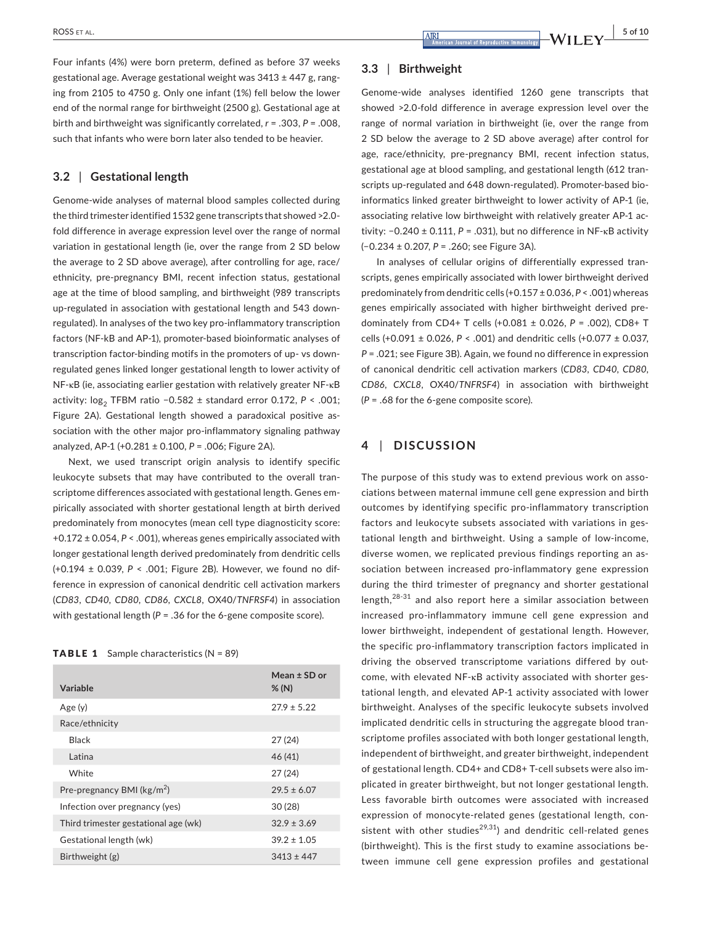Four infants (4%) were born preterm, defined as before 37 weeks gestational age. Average gestational weight was  $3413 \pm 447$  g, ranging from 2105 to 4750 g. Only one infant (1%) fell below the lower end of the normal range for birthweight (2500 g). Gestational age at birth and birthweight was significantly correlated, *r* = .303, *P* = .008, such that infants who were born later also tended to be heavier.

## **3.2** | **Gestational length**

Genome‐wide analyses of maternal blood samples collected during the third trimesteridentified 1532 gene transcripts that showed >2.0‐ fold difference in average expression level over the range of normal variation in gestational length (ie, over the range from 2 SD below the average to 2 SD above average), after controlling for age, race/ ethnicity, pre‐pregnancy BMI, recent infection status, gestational age at the time of blood sampling, and birthweight (989 transcripts up‐regulated in association with gestational length and 543 down‐ regulated). In analyses of the two key pro‐inflammatory transcription factors (NF‐kB and AP‐1), promoter‐based bioinformatic analyses of transcription factor‐binding motifs in the promoters of up‐ vs down‐ regulated genes linked longer gestational length to lower activity of NF‐κB (ie, associating earlier gestation with relatively greater NF‐κB activity: log<sub>2</sub> TFBM ratio −0.582 ± standard error 0.172, *P* < .001; Figure 2A). Gestational length showed a paradoxical positive as‐ sociation with the other major pro-inflammatory signaling pathway analyzed, AP‐1 (+0.281 ± 0.100, *P* = .006; Figure 2A).

Next, we used transcript origin analysis to identify specific leukocyte subsets that may have contributed to the overall tran‐ scriptome differences associated with gestational length. Genes em‐ pirically associated with shorter gestational length at birth derived predominately from monocytes (mean cell type diagnosticity score: +0.172 ± 0.054, *P* < .001), whereas genes empirically associated with longer gestational length derived predominately from dendritic cells (+0.194 ± 0.039, *P* < .001; Figure 2B). However, we found no dif‐ ference in expression of canonical dendritic cell activation markers (*CD83*, *CD40*, *CD80*, *CD86*, *CXCL8*, OX40/*TNFRSF4*) in association with gestational length ( $P = 0.36$  for the 6-gene composite score).

#### **TABLE 1** Sample characteristics  $(N = 89)$

| Variable                              | Mean $±$ SD or<br>% (N) |
|---------------------------------------|-------------------------|
| Age(y)                                | $27.9 \pm 5.22$         |
| Race/ethnicity                        |                         |
| Black                                 | 27(24)                  |
| Latina                                | 46(41)                  |
| White                                 | 27(24)                  |
| Pre-pregnancy BMI ( $\text{kg/m}^2$ ) | $29.5 \pm 6.07$         |
| Infection over pregnancy (yes)        | 30(28)                  |
| Third trimester gestational age (wk)  | $32.9 \pm 3.69$         |
| Gestational length (wk)               | $39.2 \pm 1.05$         |
| Birthweight (g)                       | $3413 \pm 447$          |

#### **3.3** | **Birthweight**

Genome‐wide analyses identified 1260 gene transcripts that showed >2.0-fold difference in average expression level over the range of normal variation in birthweight (ie, over the range from 2 SD below the average to 2 SD above average) after control for age, race/ethnicity, pre‐pregnancy BMI, recent infection status, gestational age at blood sampling, and gestational length (612 tran‐ scripts up-regulated and 648 down-regulated). Promoter-based bioinformatics linked greater birthweight to lower activity of AP‐1 (ie, associating relative low birthweight with relatively greater AP-1 activity: −0.240 ± 0.111, *P* = .031), but no difference in NF‐κB activity (−0.234 ± 0.207, *P* = .260; see Figure 3A).

In analyses of cellular origins of differentially expressed tran‐ scripts, genes empirically associated with lower birthweight derived predominately from dendritic cells (+0.157 ± 0.036, *P* < .001) whereas genes empirically associated with higher birthweight derived pre‐ dominately from CD4+ T cells (+0.081 ± 0.026, *P* = .002), CD8+ T cells (+0.091 ± 0.026, *P* < .001) and dendritic cells (+0.077 ± 0.037, *P* = .021; see Figure 3B). Again, we found no difference in expression of canonical dendritic cell activation markers (*CD83*, *CD40*, *CD80*, *CD86*, *CXCL8*, OX40/*TNFRSF4*) in association with birthweight (*P* = .68 for the 6‐gene composite score).

# **4** | **DISCUSSION**

The purpose of this study was to extend previous work on associations between maternal immune cell gene expression and birth outcomes by identifying specific pro‐inflammatory transcription factors and leukocyte subsets associated with variations in gestational length and birthweight. Using a sample of low‐income, diverse women, we replicated previous findings reporting an as‐ sociation between increased pro-inflammatory gene expression during the third trimester of pregnancy and shorter gestational length, $28-31$  and also report here a similar association between increased pro‐inflammatory immune cell gene expression and lower birthweight, independent of gestational length. However, the specific pro‐inflammatory transcription factors implicated in driving the observed transcriptome variations differed by outcome, with elevated NF‐κB activity associated with shorter ges‐ tational length, and elevated AP‐1 activity associated with lower birthweight. Analyses of the specific leukocyte subsets involved implicated dendritic cells in structuring the aggregate blood transcriptome profiles associated with both longer gestational length, independent of birthweight, and greater birthweight, independent of gestational length. CD4+ and CD8+ T‐cell subsets were also im‐ plicated in greater birthweight, but not longer gestational length. Less favorable birth outcomes were associated with increased expression of monocyte-related genes (gestational length, consistent with other studies<sup>29,31</sup>) and dendritic cell-related genes (birthweight). This is the first study to examine associations be‐ tween immune cell gene expression profiles and gestational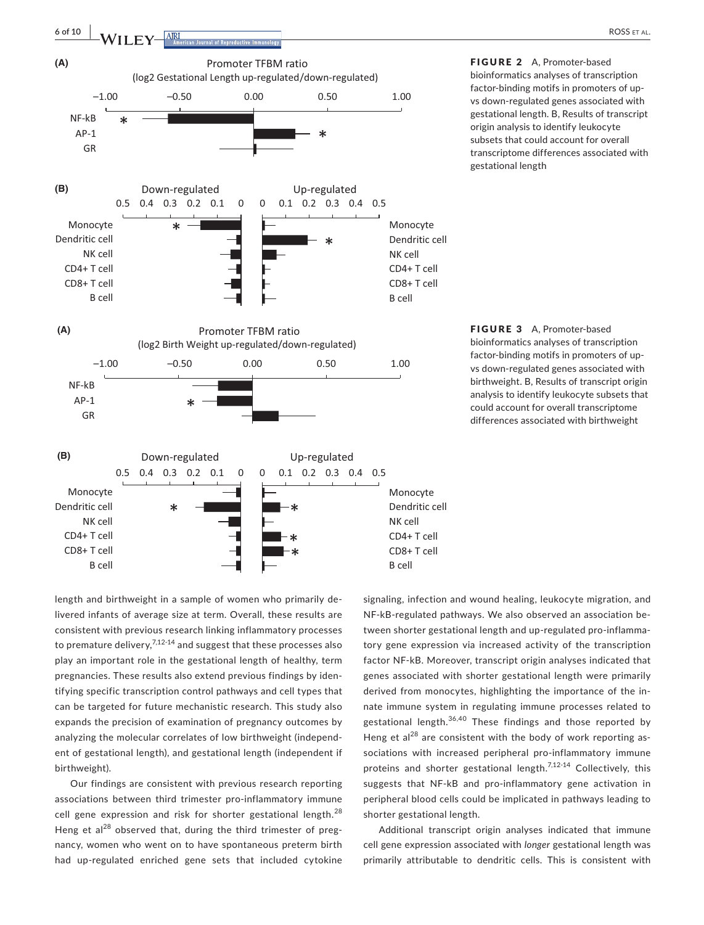

FIGURE 2 A, Promoter-based bioinformatics analyses of transcription factor‐binding motifs in promoters of up‐ vs down‐regulated genes associated with gestational length. B, Results of transcript origin analysis to identify leukocyte subsets that could account for overall transcriptome differences associated with gestational length

FIGURE 3 A, Promoter-based bioinformatics analyses of transcription factor‐binding motifs in promoters of up‐ vs down‐regulated genes associated with birthweight. B, Results of transcript origin analysis to identify leukocyte subsets that could account for overall transcriptome differences associated with birthweight

length and birthweight in a sample of women who primarily de‐ livered infants of average size at term. Overall, these results are consistent with previous research linking inflammatory processes to premature delivery, $7.12\times14$  and suggest that these processes also play an important role in the gestational length of healthy, term pregnancies. These results also extend previous findings by iden‐ tifying specific transcription control pathways and cell types that can be targeted for future mechanistic research. This study also expands the precision of examination of pregnancy outcomes by analyzing the molecular correlates of low birthweight (independ‐ ent of gestational length), and gestational length (independent if birthweight).

Our findings are consistent with previous research reporting associations between third trimester pro‐inflammatory immune cell gene expression and risk for shorter gestational length.<sup>28</sup> Heng et al<sup>28</sup> observed that, during the third trimester of pregnancy, women who went on to have spontaneous preterm birth had up‐regulated enriched gene sets that included cytokine

signaling, infection and wound healing, leukocyte migration, and NF‐kB‐regulated pathways. We also observed an association be‐ tween shorter gestational length and up‐regulated pro‐inflamma‐ tory gene expression via increased activity of the transcription factor NF‐kB. Moreover, transcript origin analyses indicated that genes associated with shorter gestational length were primarily derived from monocytes, highlighting the importance of the in‐ nate immune system in regulating immune processes related to gestational length.<sup>36,40</sup> These findings and those reported by Heng et  $al^{28}$  are consistent with the body of work reporting associations with increased peripheral pro-inflammatory immune proteins and shorter gestational length.<sup>7,12-14</sup> Collectively, this suggests that NF‐kB and pro‐inflammatory gene activation in peripheral blood cells could be implicated in pathways leading to shorter gestational length.

Additional transcript origin analyses indicated that immune cell gene expression associated with *longer* gestational length was primarily attributable to dendritic cells. This is consistent with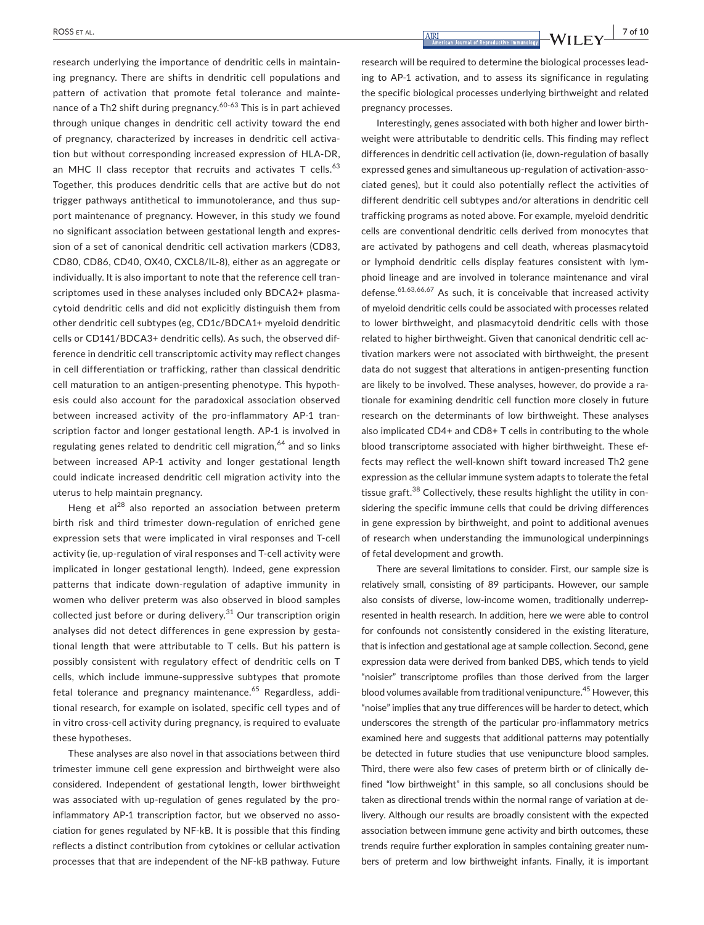research underlying the importance of dendritic cells in maintain‐ ing pregnancy. There are shifts in dendritic cell populations and pattern of activation that promote fetal tolerance and maintenance of a Th2 shift during pregnancy.<sup>60-63</sup> This is in part achieved through unique changes in dendritic cell activity toward the end of pregnancy, characterized by increases in dendritic cell activa‐ tion but without corresponding increased expression of HLA‐DR, an MHC II class receptor that recruits and activates  $T$  cells.<sup>63</sup> Together, this produces dendritic cells that are active but do not trigger pathways antithetical to immunotolerance, and thus sup‐ port maintenance of pregnancy. However, in this study we found no significant association between gestational length and expres‐ sion of a set of canonical dendritic cell activation markers (CD83, CD80, CD86, CD40, OX40, CXCL8/IL‐8), either as an aggregate or individually. It is also important to note that the reference cell transcriptomes used in these analyses included only BDCA2+ plasmacytoid dendritic cells and did not explicitly distinguish them from other dendritic cell subtypes (eg, CD1c/BDCA1+ myeloid dendritic cells or CD141/BDCA3+ dendritic cells). As such, the observed dif‐ ference in dendritic cell transcriptomic activity may reflect changes in cell differentiation or trafficking, rather than classical dendritic cell maturation to an antigen‐presenting phenotype. This hypoth‐ esis could also account for the paradoxical association observed between increased activity of the pro-inflammatory AP-1 transcription factor and longer gestational length. AP‐1 is involved in regulating genes related to dendritic cell migration,<sup>64</sup> and so links between increased AP-1 activity and longer gestational length could indicate increased dendritic cell migration activity into the uterus to help maintain pregnancy.

Heng et al<sup>28</sup> also reported an association between preterm birth risk and third trimester down‐regulation of enriched gene expression sets that were implicated in viral responses and T‐cell activity (ie, up‐regulation of viral responses and T‐cell activity were implicated in longer gestational length). Indeed, gene expression patterns that indicate down-regulation of adaptive immunity in women who deliver preterm was also observed in blood samples collected just before or during delivery. $31$  Our transcription origin analyses did not detect differences in gene expression by gestational length that were attributable to T cells. But his pattern is possibly consistent with regulatory effect of dendritic cells on T cells, which include immune‐suppressive subtypes that promote fetal tolerance and pregnancy maintenance.<sup>65</sup> Regardless, additional research, for example on isolated, specific cell types and of in vitro cross‐cell activity during pregnancy, is required to evaluate these hypotheses.

These analyses are also novel in that associations between third trimester immune cell gene expression and birthweight were also considered. Independent of gestational length, lower birthweight was associated with up-regulation of genes regulated by the proinflammatory AP-1 transcription factor, but we observed no association for genes regulated by NF‐kB. It is possible that this finding reflects a distinct contribution from cytokines or cellular activation processes that that are independent of the NF‐kB pathway. Future

 **|** ROSS et al. **7 of 10**

research will be required to determine the biological processes lead‐ ing to AP‐1 activation, and to assess its significance in regulating the specific biological processes underlying birthweight and related pregnancy processes.

Interestingly, genes associated with both higher and lower birth‐ weight were attributable to dendritic cells. This finding may reflect differences in dendritic cell activation (ie, down‐regulation of basally expressed genes and simultaneous up-regulation of activation-associated genes), but it could also potentially reflect the activities of different dendritic cell subtypes and/or alterations in dendritic cell trafficking programs as noted above. For example, myeloid dendritic cells are conventional dendritic cells derived from monocytes that are activated by pathogens and cell death, whereas plasmacytoid or lymphoid dendritic cells display features consistent with lym‐ phoid lineage and are involved in tolerance maintenance and viral defense.<sup>61,63,66,67</sup> As such, it is conceivable that increased activity of myeloid dendritic cells could be associated with processes related to lower birthweight, and plasmacytoid dendritic cells with those related to higher birthweight. Given that canonical dendritic cell ac‐ tivation markers were not associated with birthweight, the present data do not suggest that alterations in antigen‐presenting function are likely to be involved. These analyses, however, do provide a ra‐ tionale for examining dendritic cell function more closely in future research on the determinants of low birthweight. These analyses also implicated CD4+ and CD8+ T cells in contributing to the whole blood transcriptome associated with higher birthweight. These ef‐ fects may reflect the well-known shift toward increased Th2 gene expression as the cellular immune system adapts to tolerate the fetal tissue graft.<sup>38</sup> Collectively, these results highlight the utility in considering the specific immune cells that could be driving differences in gene expression by birthweight, and point to additional avenues of research when understanding the immunological underpinnings of fetal development and growth.

There are several limitations to consider. First, our sample size is relatively small, consisting of 89 participants. However, our sample also consists of diverse, low-income women, traditionally underrepresented in health research. In addition, here we were able to control for confounds not consistently considered in the existing literature, that is infection and gestational age at sample collection. Second, gene expression data were derived from banked DBS, which tends to yield "noisier" transcriptome profiles than those derived from the larger blood volumes available from traditional venipuncture.<sup>45</sup> However, this "noise" implies that any true differences will be harder to detect, which underscores the strength of the particular pro‐inflammatory metrics examined here and suggests that additional patterns may potentially be detected in future studies that use venipuncture blood samples. Third, there were also few cases of preterm birth or of clinically de‐ fined "low birthweight" in this sample, so all conclusions should be taken as directional trends within the normal range of variation at de‐ livery. Although our results are broadly consistent with the expected association between immune gene activity and birth outcomes, these trends require further exploration in samples containing greater num‐ bers of preterm and low birthweight infants. Finally, it is important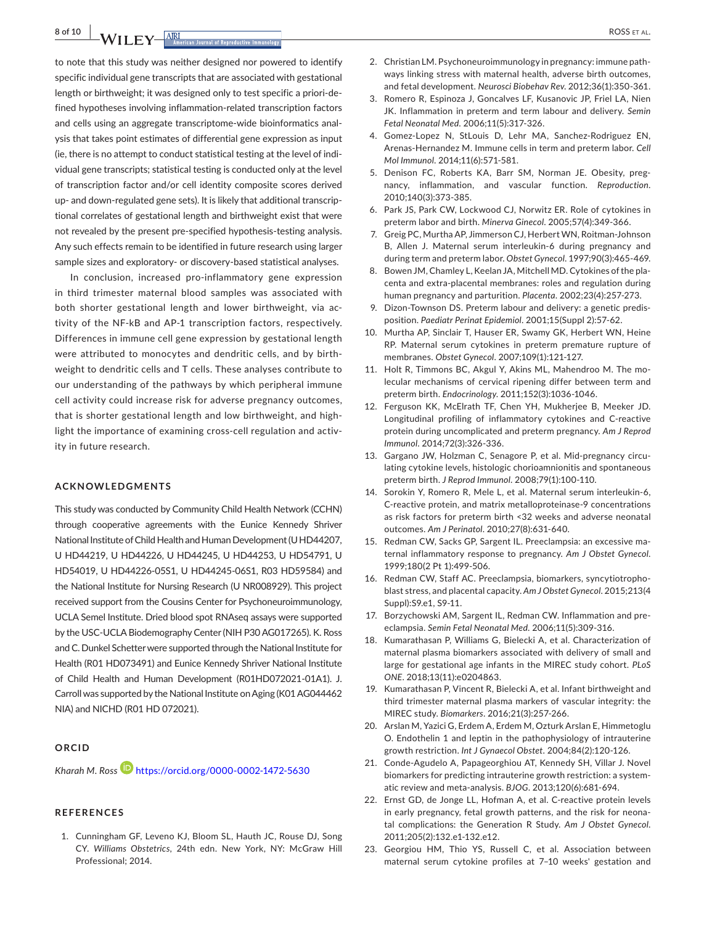**8 of 10 |**  ROSS et al.

to note that this study was neither designed nor powered to identify specific individual gene transcripts that are associated with gestational length or birthweight; it was designed only to test specific a priori‐de‐ fined hypotheses involving inflammation-related transcription factors and cells using an aggregate transcriptome‐wide bioinformatics anal‐ ysis that takes point estimates of differential gene expression as input (ie, there is no attempt to conduct statistical testing at the level of indi‐ vidual gene transcripts; statistical testing is conducted only at the level of transcription factor and/or cell identity composite scores derived up- and down-regulated gene sets). It is likely that additional transcriptional correlates of gestational length and birthweight exist that were not revealed by the present pre‐specified hypothesis‐testing analysis. Any such effects remain to be identified in future research using larger sample sizes and exploratory- or discovery-based statistical analyses.

In conclusion, increased pro-inflammatory gene expression in third trimester maternal blood samples was associated with both shorter gestational length and lower birthweight, via activity of the NF‐kB and AP‐1 transcription factors, respectively. Differences in immune cell gene expression by gestational length were attributed to monocytes and dendritic cells, and by birthweight to dendritic cells and T cells. These analyses contribute to our understanding of the pathways by which peripheral immune cell activity could increase risk for adverse pregnancy outcomes, that is shorter gestational length and low birthweight, and high‐ light the importance of examining cross‐cell regulation and activ‐ ity in future research.

#### **ACKNOWLEDGMENTS**

This study was conducted by Community Child Health Network (CCHN) through cooperative agreements with the Eunice Kennedy Shriver National Institute of Child Health and Human Development (UHD44207, U HD44219, U HD44226, U HD44245, U HD44253, U HD54791, U HD54019, U HD44226‐05S1, U HD44245‐06S1, R03 HD59584) and the National Institute for Nursing Research (U NR008929). This project received support from the Cousins Center for Psychoneuroimmunology, UCLA Semel Institute. Dried blood spot RNAseq assays were supported by the USC‐UCLABiodemography Center(NIH P30AG017265). K. Ross and C. Dunkel Schetter were supported through the National Institute for Health (R01 HD073491) and Eunice Kennedy Shriver National Institute of Child Health and Human Development (R01HD072021‐01A1). J. Carroll was supported by the National Institute on Aging (K01 AG044462 NIA) and NICHD (R01 HD 072021).

#### **ORCID**

*Kharah M. Ross* **<https://orcid.org/0000-0002-1472-5630>** 

#### **REFERENCES**

1. Cunningham GF, Leveno KJ, Bloom SL, Hauth JC, Rouse DJ, Song CY. *Williams Obstetrics*, 24th edn. New York, NY: McGraw Hill Professional; 2014.

- 2. Christian LM. Psychoneuroimmunology in pregnancy: immune path‐ ways linking stress with maternal health, adverse birth outcomes, and fetal development. *Neurosci Biobehav Rev*. 2012;36(1):350‐361.
- 3. Romero R, Espinoza J, Goncalves LF, Kusanovic JP, Friel LA, Nien JK. Inflammation in preterm and term labour and delivery. *Semin Fetal Neonatal Med*. 2006;11(5):317‐326.
- 4. Gomez-Lopez N, StLouis D, Lehr MA, Sanchez-Rodriguez EN, Arenas‐Hernandez M. Immune cells in term and preterm labor. *Cell Mol Immunol*. 2014;11(6):571‐581.
- 5. Denison FC, Roberts KA, Barr SM, Norman JE. Obesity, pregnancy, inflammation, and vascular function. *Reproduction*. 2010;140(3):373‐385.
- 6. Park JS, Park CW, Lockwood CJ, Norwitz ER. Role of cytokines in preterm labor and birth. *Minerva Ginecol*. 2005;57(4):349‐366.
- 7. Greig PC, Murtha AP, Jimmerson CJ, Herbert WN, Roitman-Johnson B, Allen J. Maternal serum interleukin‐6 during pregnancy and during term and preterm labor. *Obstet Gynecol*. 1997;90(3):465‐469.
- 8. Bowen JM, Chamley L, Keelan JA, Mitchell MD. Cytokines of the placenta and extra‐placental membranes: roles and regulation during human pregnancy and parturition. *Placenta*. 2002;23(4):257‐273.
- 9. Dizon-Townson DS. Preterm labour and delivery: a genetic predisposition. *Paediatr Perinat Epidemiol*. 2001;15(Suppl 2):57‐62.
- 10. Murtha AP, Sinclair T, Hauser ER, Swamy GK, Herbert WN, Heine RP. Maternal serum cytokines in preterm premature rupture of membranes. *Obstet Gynecol*. 2007;109(1):121‐127.
- 11. Holt R, Timmons BC, Akgul Y, Akins ML, Mahendroo M. The molecular mechanisms of cervical ripening differ between term and preterm birth. *Endocrinology*. 2011;152(3):1036‐1046.
- 12. Ferguson KK, McElrath TF, Chen YH, Mukherjee B, Meeker JD. Longitudinal profiling of inflammatory cytokines and C‐reactive protein during uncomplicated and preterm pregnancy. *Am J Reprod Immunol*. 2014;72(3):326‐336.
- 13. Gargano JW, Holzman C, Senagore P, et al. Mid-pregnancy circulating cytokine levels, histologic chorioamnionitis and spontaneous preterm birth. *J Reprod Immunol*. 2008;79(1):100‐110.
- 14. Sorokin Y, Romero R, Mele L, et al. Maternal serum interleukin-6, C‐reactive protein, and matrix metalloproteinase‐9 concentrations as risk factors for preterm birth <32 weeks and adverse neonatal outcomes. *Am J Perinatol*. 2010;27(8):631‐640.
- 15. Redman CW, Sacks GP, Sargent IL. Preeclampsia: an excessive ma‐ ternal inflammatory response to pregnancy. *Am J Obstet Gynecol*. 1999;180(2 Pt 1):499‐506.
- 16. Redman CW, Staff AC. Preeclampsia, biomarkers, syncytiotrophoblast stress, and placental capacity. *Am J Obstet Gynecol*. 2015;213(4 Suppl):S9.e1, S9‐11.
- 17. Borzychowski AM, Sargent IL, Redman CW. Inflammation and preeclampsia. *Semin Fetal Neonatal Med*. 2006;11(5):309‐316.
- 18. Kumarathasan P, Williams G, Bielecki A, et al. Characterization of maternal plasma biomarkers associated with delivery of small and large for gestational age infants in the MIREC study cohort. *PLoS ONE*. 2018;13(11):e0204863.
- 19. Kumarathasan P, Vincent R, Bielecki A, et al. Infant birthweight and third trimester maternal plasma markers of vascular integrity: the MIREC study. *Biomarkers*. 2016;21(3):257‐266.
- 20. Arslan M, Yazici G, Erdem A, Erdem M, Ozturk Arslan E, Himmetoglu O. Endothelin 1 and leptin in the pathophysiology of intrauterine growth restriction. *Int J Gynaecol Obstet*. 2004;84(2):120‐126.
- 21. Conde-Agudelo A, Papageorghiou AT, Kennedy SH, Villar J. Novel biomarkers for predicting intrauterine growth restriction: a system‐ atic review and meta‐analysis. *BJOG*. 2013;120(6):681‐694.
- 22. Ernst GD, de Jonge LL, Hofman A, et al. C-reactive protein levels in early pregnancy, fetal growth patterns, and the risk for neona‐ tal complications: the Generation R Study. *Am J Obstet Gynecol*. 2011;205(2):132.e1‐132.e12.
- 23. Georgiou HM, Thio YS, Russell C, et al. Association between maternal serum cytokine profiles at 7–10 weeks' gestation and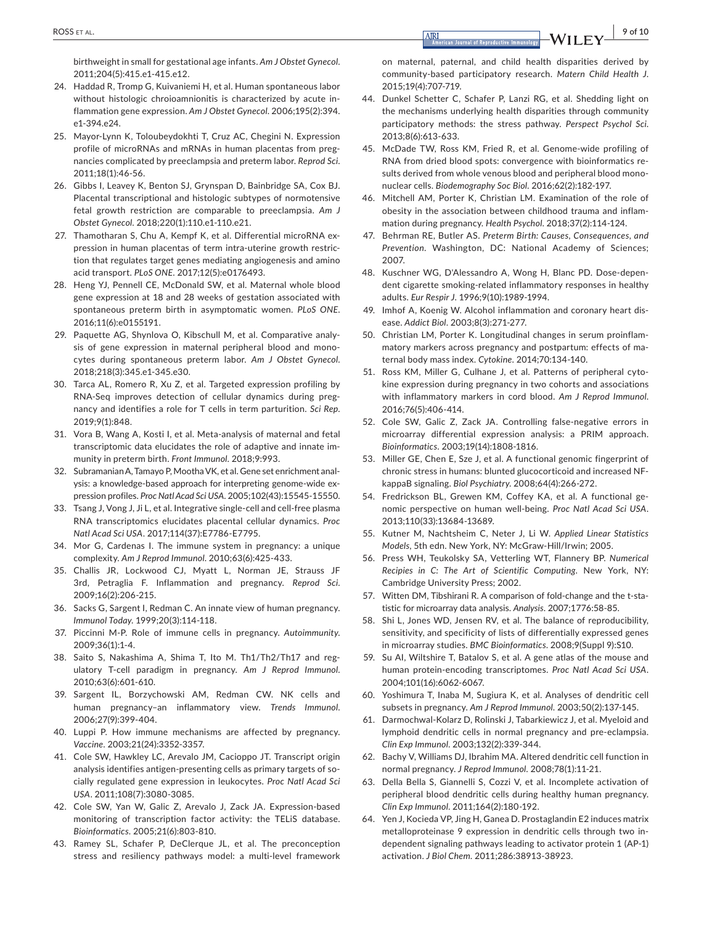birthweight in small for gestational age infants. *Am J Obstet Gynecol*. 2011;204(5):415.e1‐415.e12.

- 24. Haddad R, Tromp G, Kuivaniemi H, et al. Human spontaneous labor without histologic chroioamnionitis is characterized by acute inflammation gene expression. *Am J Obstet Gynecol*. 2006;195(2):394. e1‐394.e24.
- 25. Mayor-Lynn K, Toloubeydokhti T, Cruz AC, Chegini N, Expression profile of microRNAs and mRNAs in human placentas from preg‐ nancies complicated by preeclampsia and preterm labor. *Reprod Sci*. 2011;18(1):46‐56.
- 26. Gibbs I, Leavey K, Benton SJ, Grynspan D, Bainbridge SA, Cox BJ. Placental transcriptional and histologic subtypes of normotensive fetal growth restriction are comparable to preeclampsia. *Am J Obstet Gynecol*. 2018;220(1):110.e1‐110.e21.
- 27. Thamotharan S, Chu A, Kempf K, et al. Differential microRNA expression in human placentas of term intra‐uterine growth restric‐ tion that regulates target genes mediating angiogenesis and amino acid transport. *PLoS ONE*. 2017;12(5):e0176493.
- 28. Heng YJ, Pennell CE, McDonald SW, et al. Maternal whole blood gene expression at 18 and 28 weeks of gestation associated with spontaneous preterm birth in asymptomatic women. *PLoS ONE*. 2016;11(6):e0155191.
- 29. Paquette AG, Shynlova O, Kibschull M, et al. Comparative analysis of gene expression in maternal peripheral blood and mono‐ cytes during spontaneous preterm labor. *Am J Obstet Gynecol*. 2018;218(3):345.e1‐345.e30.
- 30. Tarca AL, Romero R, Xu Z, et al. Targeted expression profiling by RNA‐Seq improves detection of cellular dynamics during preg‐ nancy and identifies a role for T cells in term parturition. *Sci Rep*. 2019;9(1):848.
- 31. Vora B, Wang A, Kosti I, et al. Meta-analysis of maternal and fetal transcriptomic data elucidates the role of adaptive and innate im‐ munity in preterm birth. *Front Immunol*. 2018;9:993.
- 32. Subramanian A, Tamayo P, Mootha VK, et al. Gene set enrichment analysis: a knowledge‐based approach for interpreting genome‐wide ex‐ pression profiles. *Proc Natl Acad Sci USA*. 2005;102(43):15545‐15550.
- 33. Tsang J, Vong J, Ji L, et al. Integrative single-cell and cell-free plasma RNA transcriptomics elucidates placental cellular dynamics. *Proc Natl Acad Sci USA*. 2017;114(37):E7786‐E7795.
- 34. Mor G, Cardenas I. The immune system in pregnancy: a unique complexity. *Am J Reprod Immunol*. 2010;63(6):425‐433.
- 35. Challis JR, Lockwood CJ, Myatt L, Norman JE, Strauss JF 3rd, Petraglia F. Inflammation and pregnancy. *Reprod Sci*. 2009;16(2):206‐215.
- 36. Sacks G, Sargent I, Redman C. An innate view of human pregnancy. *Immunol Today*. 1999;20(3):114‐118.
- 37. Piccinni M‐P. Role of immune cells in pregnancy. *Autoimmunity*. 2009;36(1):1‐4.
- 38. Saito S, Nakashima A, Shima T, Ito M. Th1/Th2/Th17 and regulatory T‐cell paradigm in pregnancy. *Am J Reprod Immunol*. 2010;63(6):601‐610.
- 39. Sargent IL, Borzychowski AM, Redman CW. NK cells and human pregnancy–an inflammatory view. *Trends Immunol*. 2006;27(9):399‐404.
- 40. Luppi P. How immune mechanisms are affected by pregnancy. *Vaccine*. 2003;21(24):3352‐3357.
- 41. Cole SW, Hawkley LC, Arevalo JM, Cacioppo JT. Transcript origin analysis identifies antigen‐presenting cells as primary targets of so‐ cially regulated gene expression in leukocytes. *Proc Natl Acad Sci USA*. 2011;108(7):3080‐3085.
- 42. Cole SW, Yan W, Galic Z, Arevalo J, Zack JA. Expression-based monitoring of transcription factor activity: the TELiS database. *Bioinformatics*. 2005;21(6):803‐810.
- 43. Ramey SL, Schafer P, DeClerque JL, et al. The preconception stress and resiliency pathways model: a multi‐level framework

on maternal, paternal, and child health disparities derived by community‐based participatory research. *Matern Child Health J*. 2015;19(4):707‐719.

- 44. Dunkel Schetter C, Schafer P, Lanzi RG, et al. Shedding light on the mechanisms underlying health disparities through community participatory methods: the stress pathway. *Perspect Psychol Sci*. 2013;8(6):613‐633.
- 45. McDade TW, Ross KM, Fried R, et al. Genome‐wide profiling of RNA from dried blood spots: convergence with bioinformatics re‐ sults derived from whole venous blood and peripheral blood mono‐ nuclear cells. *Biodemography Soc Biol*. 2016;62(2):182‐197.
- 46. Mitchell AM, Porter K, Christian LM. Examination of the role of obesity in the association between childhood trauma and inflam‐ mation during pregnancy. *Health Psychol*. 2018;37(2):114‐124.
- 47. Behrman RE, Butler AS. *Preterm Birth: Causes, Consequences, and Prevention*. Washington, DC: National Academy of Sciences; 2007.
- 48. Kuschner WG, D'Alessandro A, Wong H, Blanc PD. Dose-dependent cigarette smoking‐related inflammatory responses in healthy adults. *Eur Respir J*. 1996;9(10):1989‐1994.
- 49. Imhof A, Koenig W. Alcohol inflammation and coronary heart disease. *Addict Biol*. 2003;8(3):271‐277.
- 50. Christian LM, Porter K. Longitudinal changes in serum proinflam‐ matory markers across pregnancy and postpartum: effects of ma‐ ternal body mass index. *Cytokine*. 2014;70:134‐140.
- 51. Ross KM, Miller G, Culhane J, et al. Patterns of peripheral cytokine expression during pregnancy in two cohorts and associations with inflammatory markers in cord blood. *Am J Reprod Immunol*. 2016;76(5):406‐414.
- 52. Cole SW, Galic Z, Zack JA. Controlling false-negative errors in microarray differential expression analysis: a PRIM approach. *Bioinformatics*. 2003;19(14):1808‐1816.
- 53. Miller GE, Chen E, Sze J, et al. A functional genomic fingerprint of chronic stress in humans: blunted glucocorticoid and increased NF‐ kappaB signaling. *Biol Psychiatry*. 2008;64(4):266‐272.
- 54. Fredrickson BL, Grewen KM, Coffey KA, et al. A functional genomic perspective on human well‐being. *Proc Natl Acad Sci USA*. 2013;110(33):13684‐13689.
- 55. Kutner M, Nachtsheim C, Neter J, Li W. *Applied Linear Statistics Models*, 5th edn. New York, NY: McGraw‐Hill/Irwin; 2005.
- 56. Press WH, Teukolsky SA, Vetterling WT, Flannery BP. *Numerical Recipies in C: The Art of Scientific Computing*. New York, NY: Cambridge University Press; 2002.
- 57. Witten DM, Tibshirani R. A comparison of fold-change and the t-statistic for microarray data analysis. *Analysis*. 2007;1776:58‐85.
- 58. Shi L, Jones WD, Jensen RV, et al. The balance of reproducibility, sensitivity, and specificity of lists of differentially expressed genes in microarray studies. *BMC Bioinformatics*. 2008;9(Suppl 9):S10.
- 59. Su AI, Wiltshire T, Batalov S, et al. A gene atlas of the mouse and human protein‐encoding transcriptomes. *Proc Natl Acad Sci USA*. 2004;101(16):6062‐6067.
- 60. Yoshimura T, Inaba M, Sugiura K, et al. Analyses of dendritic cell subsets in pregnancy. *Am J Reprod Immunol*. 2003;50(2):137‐145.
- 61. Darmochwal-Kolarz D, Rolinski J, Tabarkiewicz J, et al. Myeloid and lymphoid dendritic cells in normal pregnancy and pre‐eclampsia. *Clin Exp Immunol*. 2003;132(2):339‐344.
- 62. Bachy V, Williams DJ, Ibrahim MA. Altered dendritic cell function in normal pregnancy. *J Reprod Immunol*. 2008;78(1):11‐21.
- 63. Della Bella S, Giannelli S, Cozzi V, et al. Incomplete activation of peripheral blood dendritic cells during healthy human pregnancy. *Clin Exp Immunol*. 2011;164(2):180‐192.
- 64. Yen J, Kocieda VP, Jing H, Ganea D. Prostaglandin E2 induces matrix metalloproteinase 9 expression in dendritic cells through two in‐ dependent signaling pathways leading to activator protein 1 (AP‐1) activation. *J Biol Chem*. 2011;286:38913‐38923.